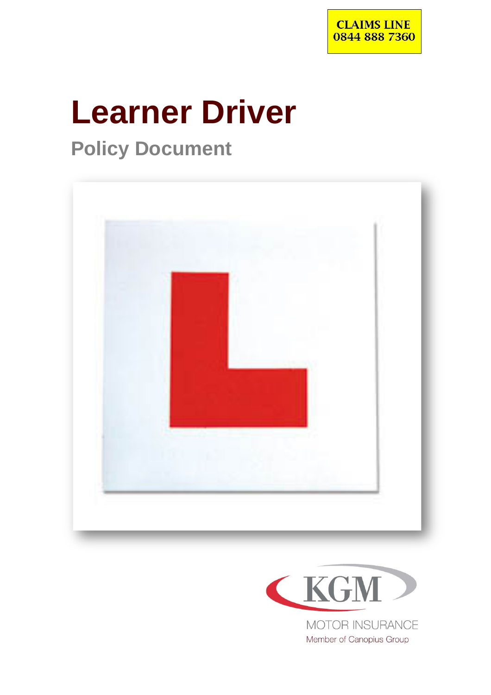

# **Learner Driver**

# **Policy Document**





Member of Canopius Group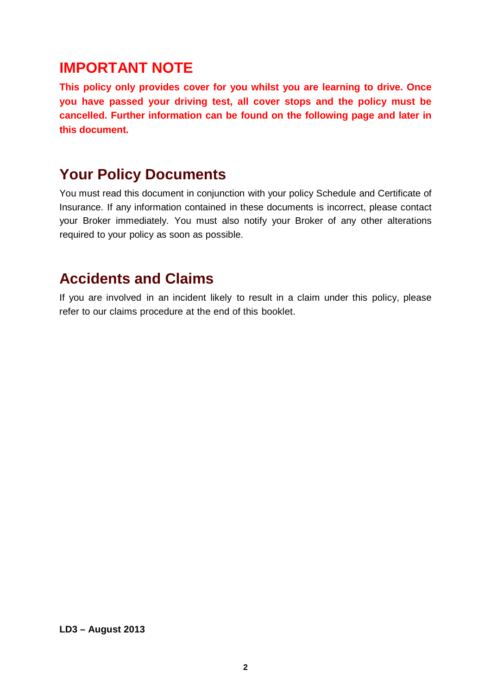### **IMPORTANT NOTE**

**This policy only provides cover for you whilst you are learning to drive. Once you have passed your driving test, all cover stops and the policy must be cancelled. Further information can be found on the following page and later in this document.** 

### **Your Policy Documents**

You must read this document in conjunction with your policy Schedule and Certificate of Insurance. If any information contained in these documents is incorrect, please contact your Broker immediately. You must also notify your Broker of any other alterations required to your policy as soon as possible.

### **Accidents and Claims**

If you are involved in an incident likely to result in a claim under this policy, please refer to our claims procedure at the end of this booklet.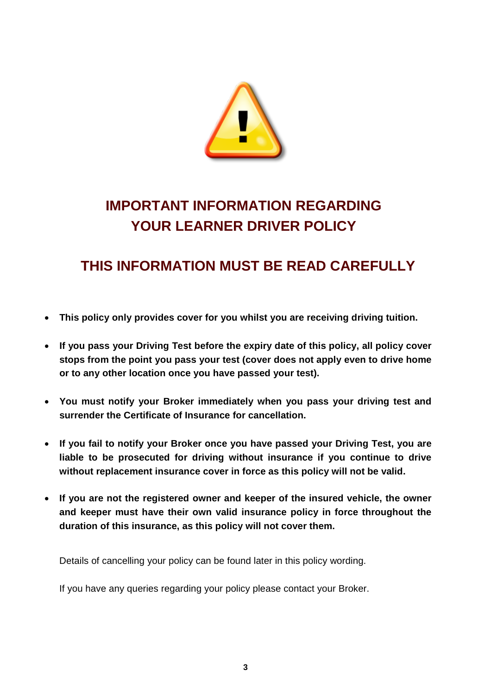

# **IMPORTANT INFORMATION REGARDING YOUR LEARNER DRIVER POLICY**

### **THIS INFORMATION MUST BE READ CAREFULLY**

- **This policy only provides cover for you whilst you are receiving driving tuition.**
- **If you pass your Driving Test before the expiry date of this policy, all policy cover stops from the point you pass your test (cover does not apply even to drive home or to any other location once you have passed your test).**
- **You must notify your Broker immediately when you pass your driving test and surrender the Certificate of Insurance for cancellation.**
- **If you fail to notify your Broker once you have passed your Driving Test, you are liable to be prosecuted for driving without insurance if you continue to drive without replacement insurance cover in force as this policy will not be valid.**
- **If you are not the registered owner and keeper of the insured vehicle, the owner and keeper must have their own valid insurance policy in force throughout the duration of this insurance, as this policy will not cover them.**

Details of cancelling your policy can be found later in this policy wording.

If you have any queries regarding your policy please contact your Broker.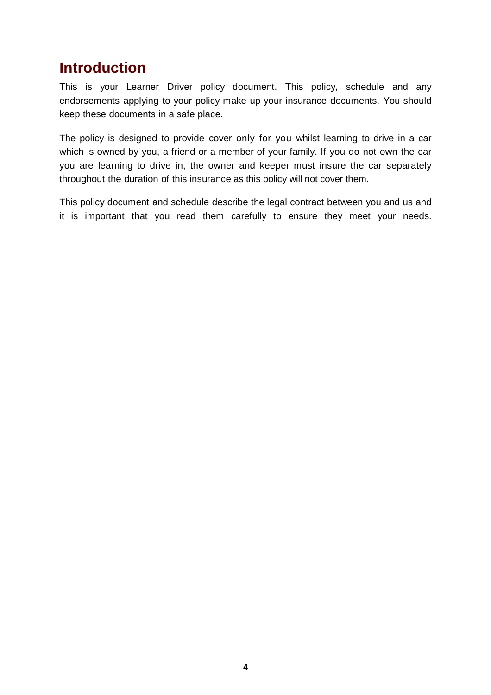### **Introduction**

This is your Learner Driver policy document. This policy, schedule and any endorsements applying to your policy make up your insurance documents. You should keep these documents in a safe place.

The policy is designed to provide cover only for you whilst learning to drive in a car which is owned by you, a friend or a member of your family. If you do not own the car you are learning to drive in, the owner and keeper must insure the car separately throughout the duration of this insurance as this policy will not cover them.

This policy document and schedule describe the legal contract between you and us and it is important that you read them carefully to ensure they meet your needs.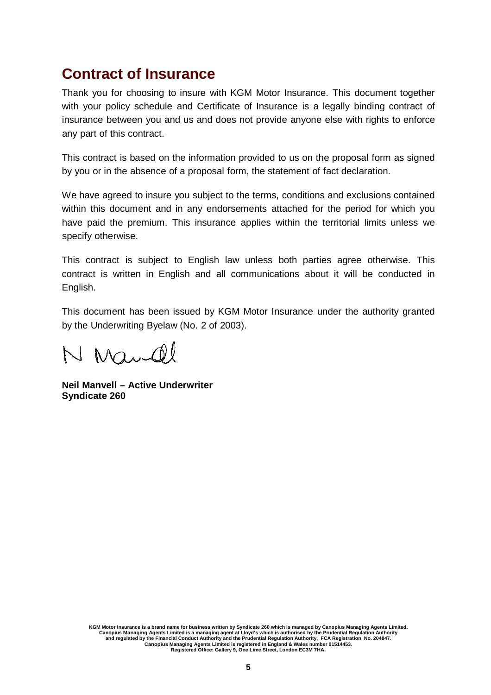### **Contract of Insurance**

Thank you for choosing to insure with KGM Motor Insurance. This document together with your policy schedule and Certificate of Insurance is a legally binding contract of insurance between you and us and does not provide anyone else with rights to enforce any part of this contract.

This contract is based on the information provided to us on the proposal form as signed by you or in the absence of a proposal form, the statement of fact declaration.

We have agreed to insure you subject to the terms, conditions and exclusions contained within this document and in any endorsements attached for the period for which you have paid the premium. This insurance applies within the territorial limits unless we specify otherwise.

This contract is subject to English law unless both parties agree otherwise. This contract is written in English and all communications about it will be conducted in English.

This document has been issued by KGM Motor Insurance under the authority granted by the Underwriting Byelaw (No. 2 of 2003).

N Mandl

**Neil Manvell – Active Underwriter Syndicate 260**

KGM Motor Insurance is a brand name for business written by Syndicate 260 which is managed by Canopius Managing Agents Limited.<br>Canopius Managing Agents Limited is a managing agent at Lloyd's which is authorised by the Pru **Canopius Managing Agents Limited is registered in England & Wales number 01514453. Registered Office: Gallery 9, One Lime Street, London EC3M 7HA.**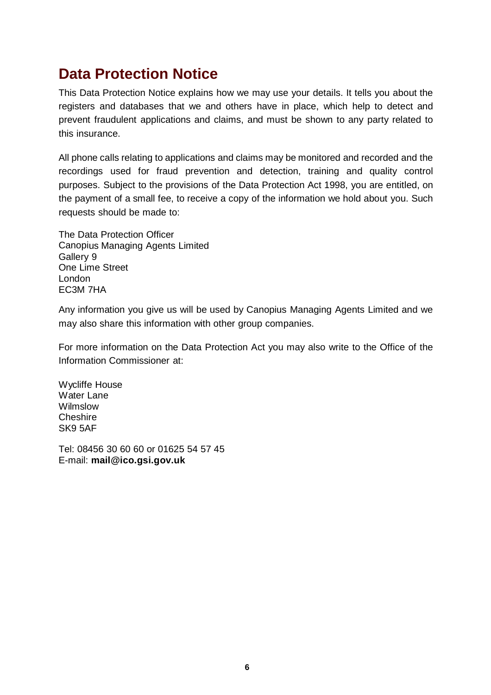### **Data Protection Notice**

This Data Protection Notice explains how we may use your details. It tells you about the registers and databases that we and others have in place, which help to detect and prevent fraudulent applications and claims, and must be shown to any party related to this insurance.

All phone calls relating to applications and claims may be monitored and recorded and the recordings used for fraud prevention and detection, training and quality control purposes. Subject to the provisions of the Data Protection Act 1998, you are entitled, on the payment of a small fee, to receive a copy of the information we hold about you. Such requests should be made to:

The Data Protection Officer Canopius Managing Agents Limited Gallery 9 One Lime Street London EC3M 7HA

Any information you give us will be used by Canopius Managing Agents Limited and we may also share this information with other group companies.

For more information on the Data Protection Act you may also write to the Office of the Information Commissioner at:

Wycliffe House Water Lane Wilmslow **Cheshire** SK9 5AF

Tel: 08456 30 60 60 or 01625 54 57 45 E-mail: **[mail@ico.gsi.gov.uk](mailto:mail@ico.gsi.gov.uk)**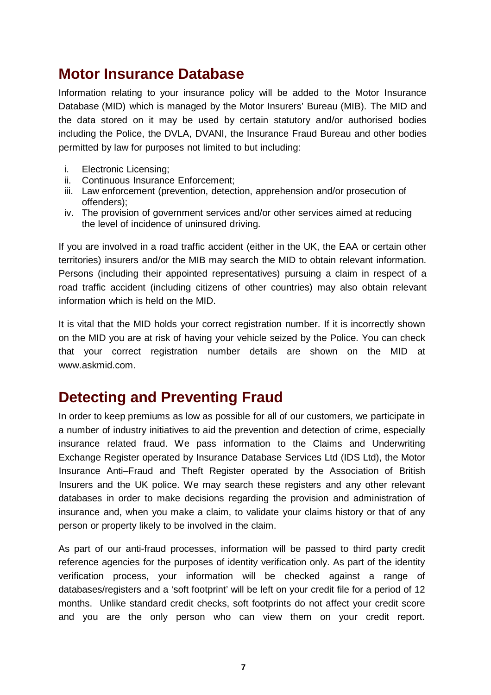### **Motor Insurance Database**

Information relating to your insurance policy will be added to the Motor Insurance Database (MID) which is managed by the Motor Insurers' Bureau (MIB). The MID and the data stored on it may be used by certain statutory and/or authorised bodies including the Police, the DVLA, DVANI, the Insurance Fraud Bureau and other bodies permitted by law for purposes not limited to but including:

- i. Electronic Licensing;
- ii. Continuous Insurance Enforcement;
- iii. Law enforcement (prevention, detection, apprehension and/or prosecution of offenders);
- iv. The provision of government services and/or other services aimed at reducing the level of incidence of uninsured driving.

If you are involved in a road traffic accident (either in the UK, the EAA or certain other territories) insurers and/or the MIB may search the MID to obtain relevant information. Persons (including their appointed representatives) pursuing a claim in respect of a road traffic accident (including citizens of other countries) may also obtain relevant information which is held on the MID.

It is vital that the MID holds your correct registration number. If it is incorrectly shown on the MID you are at risk of having your vehicle seized by the Police. You can check that your correct registration number details are shown on the MID a[t](http://www.askmid.com/) [www.askmid.com.](http://www.askmid.com/)

### **Detecting and Preventing Fraud**

In order to keep premiums as low as possible for all of our customers, we participate in a number of industry initiatives to aid the prevention and detection of crime, especially insurance related fraud. We pass information to the Claims and Underwriting Exchange Register operated by Insurance Database Services Ltd (IDS Ltd), the Motor Insurance Anti–Fraud and Theft Register operated by the Association of British Insurers and the UK police. We may search these registers and any other relevant databases in order to make decisions regarding the provision and administration of insurance and, when you make a claim, to validate your claims history or that of any person or property likely to be involved in the claim.

As part of our anti-fraud processes, information will be passed to third party credit reference agencies for the purposes of identity verification only. As part of the identity verification process, your information will be checked against a range of databases/registers and a 'soft footprint' will be left on your credit file for a period of 12 months. Unlike standard credit checks, soft footprints do not affect your credit score and you are the only person who can view them on your credit report.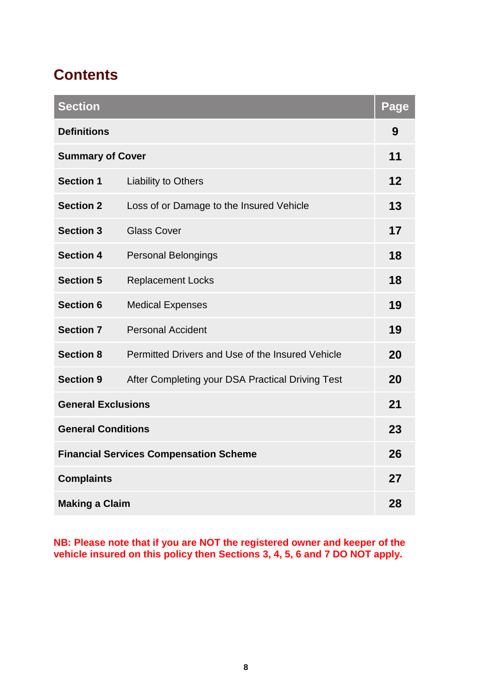# **Contents**

| <b>Section</b>                                |                                                  | Page |
|-----------------------------------------------|--------------------------------------------------|------|
| <b>Definitions</b>                            |                                                  | 9    |
| <b>Summary of Cover</b>                       |                                                  | 11   |
| <b>Section 1</b>                              | <b>Liability to Others</b>                       | 12   |
| <b>Section 2</b>                              | Loss of or Damage to the Insured Vehicle         | 13   |
| <b>Section 3</b>                              | <b>Glass Cover</b>                               | 17   |
| <b>Section 4</b>                              | <b>Personal Belongings</b>                       | 18   |
| <b>Section 5</b>                              | <b>Replacement Locks</b>                         | 18   |
| <b>Section 6</b>                              | <b>Medical Expenses</b>                          | 19   |
| <b>Section 7</b>                              | <b>Personal Accident</b>                         | 19   |
| <b>Section 8</b>                              | Permitted Drivers and Use of the Insured Vehicle | 20   |
| <b>Section 9</b>                              | After Completing your DSA Practical Driving Test | 20   |
| <b>General Exclusions</b>                     |                                                  | 21   |
| <b>General Conditions</b>                     |                                                  | 23   |
| <b>Financial Services Compensation Scheme</b> |                                                  |      |
| <b>Complaints</b>                             |                                                  | 27   |
| <b>Making a Claim</b>                         |                                                  |      |

**NB: Please note that if you are NOT the registered owner and keeper of the vehicle insured on this policy then Sections 3, 4, 5, 6 and 7 DO NOT apply.**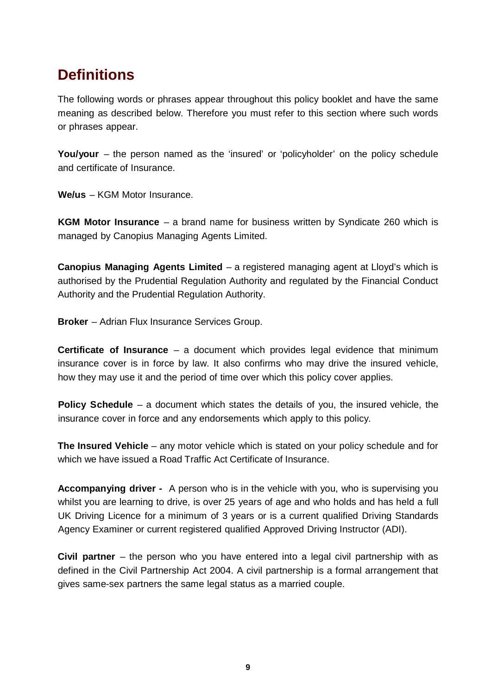## **Definitions**

The following words or phrases appear throughout this policy booklet and have the same meaning as described below. Therefore you must refer to this section where such words or phrases appear.

**You/your** – the person named as the 'insured' or 'policyholder' on the policy schedule and certificate of Insurance.

**We/us** – KGM Motor Insurance.

**KGM Motor Insurance** – a brand name for business written by Syndicate 260 which is managed by Canopius Managing Agents Limited.

**Canopius Managing Agents Limited** – a registered managing agent at Lloyd's which is authorised by the Prudential Regulation Authority and regulated by the Financial Conduct Authority and the Prudential Regulation Authority.

**Broker** – Adrian Flux Insurance Services Group.

**Certificate of Insurance** – a document which provides legal evidence that minimum insurance cover is in force by law. It also confirms who may drive the insured vehicle, how they may use it and the period of time over which this policy cover applies.

**Policy Schedule** – a document which states the details of you, the insured vehicle, the insurance cover in force and any endorsements which apply to this policy.

**The Insured Vehicle** – any motor vehicle which is stated on your policy schedule and for which we have issued a Road Traffic Act Certificate of Insurance.

**Accompanying driver -** A person who is in the vehicle with you, who is supervising you whilst you are learning to drive, is over 25 years of age and who holds and has held a full UK Driving Licence for a minimum of 3 years or is a current qualified Driving Standards Agency Examiner or current registered qualified Approved Driving Instructor (ADI).

**Civil partner** – the person who you have entered into a legal civil partnership with as defined in the Civil Partnership Act 2004. A civil partnership is a formal arrangement that gives same-sex partners the same legal status as a married couple.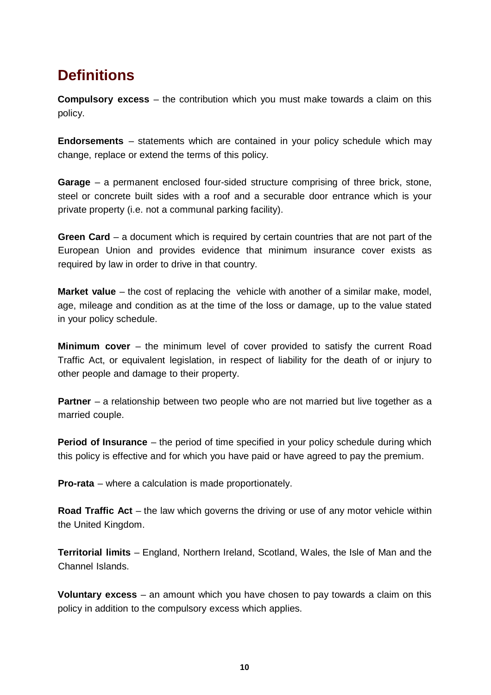# **Definitions**

**Compulsory excess** – the contribution which you must make towards a claim on this policy.

**Endorsements** – statements which are contained in your policy schedule which may change, replace or extend the terms of this policy.

**Garage** – a permanent enclosed four-sided structure comprising of three brick, stone, steel or concrete built sides with a roof and a securable door entrance which is your private property (i.e. not a communal parking facility).

**Green Card** – a document which is required by certain countries that are not part of the European Union and provides evidence that minimum insurance cover exists as required by law in order to drive in that country.

**Market value** – the cost of replacing the vehicle with another of a similar make, model, age, mileage and condition as at the time of the loss or damage, up to the value stated in your policy schedule.

**Minimum cover** – the minimum level of cover provided to satisfy the current Road Traffic Act, or equivalent legislation, in respect of liability for the death of or injury to other people and damage to their property.

**Partner** – a relationship between two people who are not married but live together as a married couple.

**Period of Insurance** – the period of time specified in your policy schedule during which this policy is effective and for which you have paid or have agreed to pay the premium.

**Pro-rata** – where a calculation is made proportionately.

**Road Traffic Act** – the law which governs the driving or use of any motor vehicle within the United Kingdom.

**Territorial limits** – England, Northern Ireland, Scotland, Wales, the Isle of Man and the Channel Islands.

**Voluntary excess** – an amount which you have chosen to pay towards a claim on this policy in addition to the compulsory excess which applies.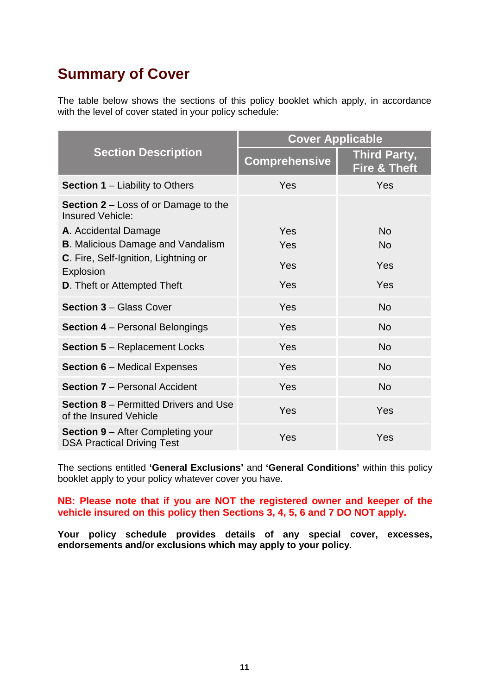## **Summary of Cover**

The table below shows the sections of this policy booklet which apply, in accordance with the level of cover stated in your policy schedule:

|                                                                                                                                     | <b>Cover Applicable</b> |                                                |  |
|-------------------------------------------------------------------------------------------------------------------------------------|-------------------------|------------------------------------------------|--|
| <b>Section Description</b>                                                                                                          | <b>Comprehensive</b>    | <b>Third Party,</b><br><b>Fire &amp; Theft</b> |  |
| <b>Section 1</b> $-$ Liability to Others                                                                                            | Yes                     | Yes                                            |  |
| <b>Section 2</b> – Loss of or Damage to the<br><b>Insured Vehicle:</b><br>A. Accidental Damage                                      | Yes                     | <b>No</b>                                      |  |
| <b>B.</b> Malicious Damage and Vandalism<br>C. Fire, Self-Ignition, Lightning or<br>Explosion<br><b>D.</b> Theft or Attempted Theft | Yes<br>Yes<br>Yes       | <b>No</b><br>Yes<br>Yes                        |  |
| <b>Section 3 - Glass Cover</b>                                                                                                      | Yes                     | <b>No</b>                                      |  |
| <b>Section 4 – Personal Belongings</b>                                                                                              | Yes                     | <b>No</b>                                      |  |
| <b>Section 5 - Replacement Locks</b>                                                                                                | Yes                     | <b>No</b>                                      |  |
| <b>Section 6 - Medical Expenses</b>                                                                                                 | Yes                     | <b>No</b>                                      |  |
| <b>Section 7 - Personal Accident</b>                                                                                                | Yes                     | <b>No</b>                                      |  |
| <b>Section 8</b> – Permitted Drivers and Use<br>of the Insured Vehicle                                                              | Yes                     | Yes                                            |  |
| <b>Section 9</b> – After Completing your<br><b>DSA Practical Driving Test</b>                                                       | Yes                     | Yes                                            |  |

The sections entitled **'General Exclusions'** and **'General Conditions'** within this policy booklet apply to your policy whatever cover you have.

#### **NB: Please note that if you are NOT the registered owner and keeper of the vehicle insured on this policy then Sections 3, 4, 5, 6 and 7 DO NOT apply.**

**Your policy schedule provides details of any special cover, excesses, endorsements and/or exclusions which may apply to your policy.**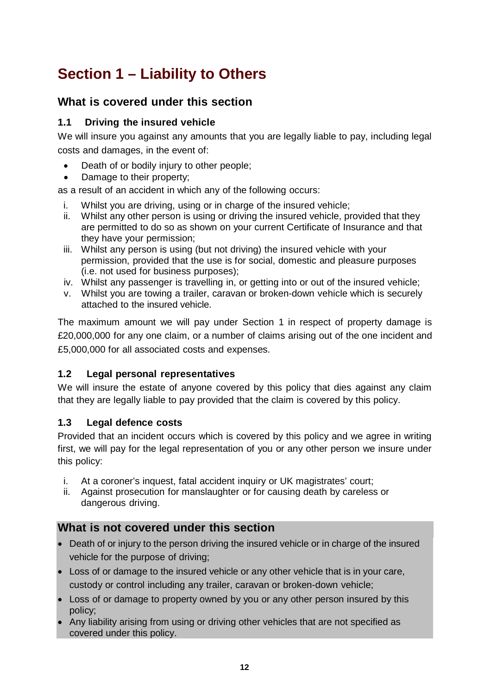# **Section 1 – Liability to Others**

### **What is covered under this section**

### **1.1 Driving the insured vehicle**

We will insure you against any amounts that you are legally liable to pay, including legal costs and damages, in the event of:

- Death of or bodily injury to other people;
- Damage to their property;

as a result of an accident in which any of the following occurs:

- i. Whilst you are driving, using or in charge of the insured vehicle;
- ii. Whilst any other person is using or driving the insured vehicle, provided that they are permitted to do so as shown on your current Certificate of Insurance and that they have your permission;
- iii. Whilst any person is using (but not driving) the insured vehicle with your permission, provided that the use is for social, domestic and pleasure purposes (i.e. not used for business purposes);
- iv. Whilst any passenger is travelling in, or getting into or out of the insured vehicle;
- v. Whilst you are towing a trailer, caravan or broken-down vehicle which is securely attached to the insured vehicle.

The maximum amount we will pay under Section 1 in respect of property damage is £20,000,000 for any one claim, or a number of claims arising out of the one incident and £5,000,000 for all associated costs and expenses.

### **1.2 Legal personal representatives**

We will insure the estate of anyone covered by this policy that dies against any claim that they are legally liable to pay provided that the claim is covered by this policy.

### **1.3 Legal defence costs**

Provided that an incident occurs which is covered by this policy and we agree in writing first, we will pay for the legal representation of you or any other person we insure under this policy:

- i. At a coroner's inquest, fatal accident inquiry or UK magistrates' court;
- ii. Against prosecution for manslaughter or for causing death by careless or dangerous driving.

### **What is not covered under this section**

- Death of or injury to the person driving the insured vehicle or in charge of the insured vehicle for the purpose of driving;
- Loss of or damage to the insured vehicle or any other vehicle that is in your care, custody or control including any trailer, caravan or broken-down vehicle;
- Loss of or damage to property owned by you or any other person insured by this policy;
- Any liability arising from using or driving other vehicles that are not specified as covered under this policy.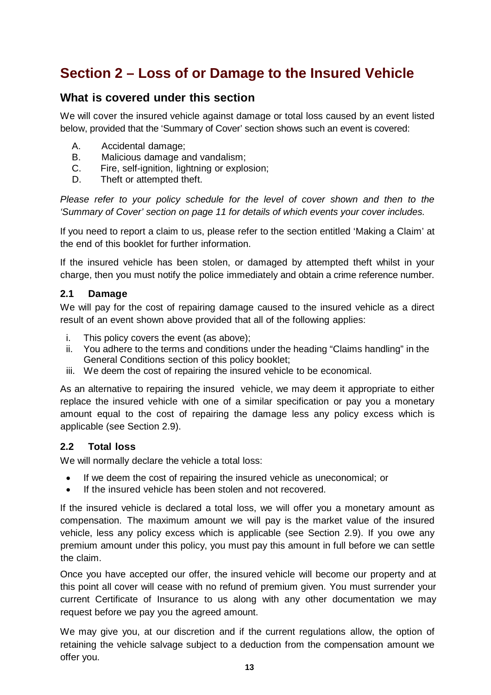### **What is covered under this section**

We will cover the insured vehicle against damage or total loss caused by an event listed below, provided that the 'Summary of Cover' section shows such an event is covered:

- A. Accidental damage;<br>B. Malicious damage a
- B. Malicious damage and vandalism;<br>C. Fire. self-ignition. lightning or explo
- C. Fire, self-ignition, lightning or explosion;<br>D. Theft or attempted theft.
- Theft or attempted theft.

Please refer to your policy schedule for the level of cover shown and then to the *'Summary of Cover' section on page 11 for details of which events your cover includes.*

If you need to report a claim to us, please refer to the section entitled 'Making a Claim' at the end of this booklet for further information.

If the insured vehicle has been stolen, or damaged by attempted theft whilst in your charge, then you must notify the police immediately and obtain a crime reference number.

#### **2.1 Damage**

We will pay for the cost of repairing damage caused to the insured vehicle as a direct result of an event shown above provided that all of the following applies:

- i. This policy covers the event (as above);
- ii. You adhere to the terms and conditions under the heading "Claims handling" in the General Conditions section of this policy booklet;
- iii. We deem the cost of repairing the insured vehicle to be economical.

As an alternative to repairing the insured vehicle, we may deem it appropriate to either replace the insured vehicle with one of a similar specification or pay you a monetary amount equal to the cost of repairing the damage less any policy excess which is applicable (see Section 2.9).

#### **2.2 Total loss**

We will normally declare the vehicle a total loss:

- If we deem the cost of repairing the insured vehicle as uneconomical; or
- If the insured vehicle has been stolen and not recovered.

If the insured vehicle is declared a total loss, we will offer you a monetary amount as compensation. The maximum amount we will pay is the market value of the insured vehicle, less any policy excess which is applicable (see Section 2.9). If you owe any premium amount under this policy, you must pay this amount in full before we can settle the claim.

Once you have accepted our offer, the insured vehicle will become our property and at this point all cover will cease with no refund of premium given. You must surrender your current Certificate of Insurance to us along with any other documentation we may request before we pay you the agreed amount.

We may give you, at our discretion and if the current regulations allow, the option of retaining the vehicle salvage subject to a deduction from the compensation amount we offer you.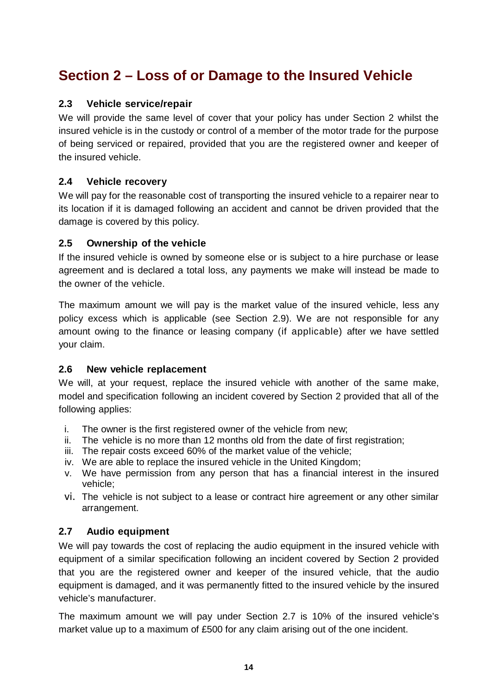### **2.3 Vehicle service/repair**

We will provide the same level of cover that your policy has under Section 2 whilst the insured vehicle is in the custody or control of a member of the motor trade for the purpose of being serviced or repaired, provided that you are the registered owner and keeper of the insured vehicle.

### **2.4 Vehicle recovery**

We will pay for the reasonable cost of transporting the insured vehicle to a repairer near to its location if it is damaged following an accident and cannot be driven provided that the damage is covered by this policy.

#### **2.5 Ownership of the vehicle**

If the insured vehicle is owned by someone else or is subject to a hire purchase or lease agreement and is declared a total loss, any payments we make will instead be made to the owner of the vehicle.

The maximum amount we will pay is the market value of the insured vehicle, less any policy excess which is applicable (see Section 2.9). We are not responsible for any amount owing to the finance or leasing company (if applicable) after we have settled your claim.

#### **2.6 New vehicle replacement**

We will, at your request, replace the insured vehicle with another of the same make, model and specification following an incident covered by Section 2 provided that all of the following applies:

- i. The owner is the first registered owner of the vehicle from new;
- ii. The vehicle is no more than 12 months old from the date of first registration;
- iii. The repair costs exceed 60% of the market value of the vehicle;
- iv. We are able to replace the insured vehicle in the United Kingdom;
- v. We have permission from any person that has a financial interest in the insured vehicle;
- vi. The vehicle is not subject to a lease or contract hire agreement or any other similar arrangement.

### **2.7 Audio equipment**

We will pay towards the cost of replacing the audio equipment in the insured vehicle with equipment of a similar specification following an incident covered by Section 2 provided that you are the registered owner and keeper of the insured vehicle, that the audio equipment is damaged, and it was permanently fitted to the insured vehicle by the insured vehicle's manufacturer.

The maximum amount we will pay under Section 2.7 is 10% of the insured vehicle's market value up to a maximum of £500 for any claim arising out of the one incident.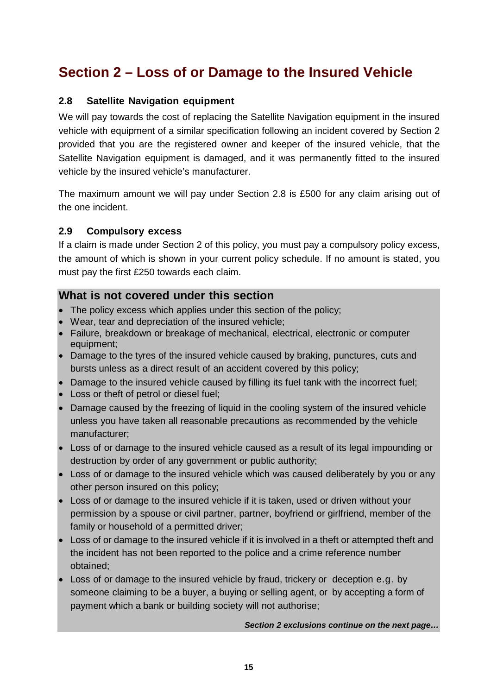### **2.8 Satellite Navigation equipment**

We will pay towards the cost of replacing the Satellite Navigation equipment in the insured vehicle with equipment of a similar specification following an incident covered by Section 2 provided that you are the registered owner and keeper of the insured vehicle, that the Satellite Navigation equipment is damaged, and it was permanently fitted to the insured vehicle by the insured vehicle's manufacturer.

The maximum amount we will pay under Section 2.8 is £500 for any claim arising out of the one incident.

#### **2.9 Compulsory excess**

If a claim is made under Section 2 of this policy, you must pay a compulsory policy excess, the amount of which is shown in your current policy schedule. If no amount is stated, you must pay the first £250 towards each claim.

### **What is not covered under this section**

- The policy excess which applies under this section of the policy;
- Wear, tear and depreciation of the insured vehicle;
- Failure, breakdown or breakage of mechanical, electrical, electronic or computer equipment;
- Damage to the tyres of the insured vehicle caused by braking, punctures, cuts and bursts unless as a direct result of an accident covered by this policy;
- Damage to the insured vehicle caused by filling its fuel tank with the incorrect fuel;
- Loss or theft of petrol or diesel fuel;
- Damage caused by the freezing of liquid in the cooling system of the insured vehicle unless you have taken all reasonable precautions as recommended by the vehicle manufacturer;
- Loss of or damage to the insured vehicle caused as a result of its legal impounding or destruction by order of any government or public authority;
- Loss of or damage to the insured vehicle which was caused deliberately by you or any other person insured on this policy;
- Loss of or damage to the insured vehicle if it is taken, used or driven without your permission by a spouse or civil partner, partner, boyfriend or girlfriend, member of the family or household of a permitted driver;
- Loss of or damage to the insured vehicle if it is involved in a theft or attempted theft and the incident has not been reported to the police and a crime reference number obtained;
- Loss of or damage to the insured vehicle by fraud, trickery or deception e.g. by someone claiming to be a buyer, a buying or selling agent, or by accepting a form of payment which a bank or building society will not authorise;

*Section 2 exclusions continue on the next page…*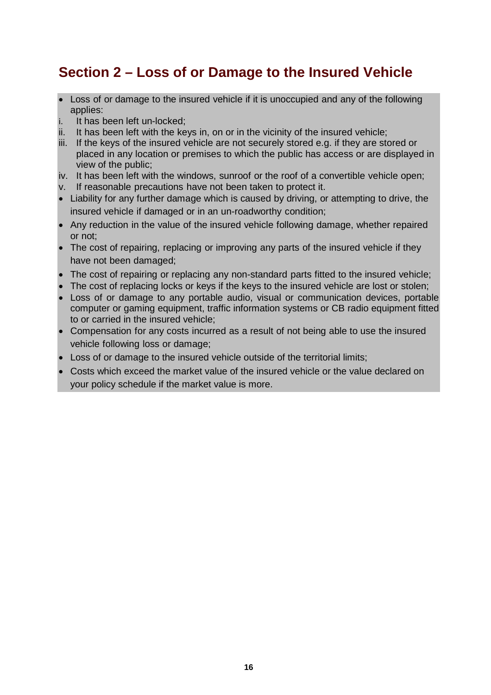- Loss of or damage to the insured vehicle if it is unoccupied and any of the following applies:
- i. It has been left un-locked;
- ii. It has been left with the keys in, on or in the vicinity of the insured vehicle;
- iii. If the keys of the insured vehicle are not securely stored e.g. if they are stored or placed in any location or premises to which the public has access or are displayed in view of the public;
- iv. It has been left with the windows, sunroof or the roof of a convertible vehicle open;
- v. If reasonable precautions have not been taken to protect it.
- Liability for any further damage which is caused by driving, or attempting to drive, the insured vehicle if damaged or in an un-roadworthy condition;
- Any reduction in the value of the insured vehicle following damage, whether repaired or not;
- The cost of repairing, replacing or improving any parts of the insured vehicle if they have not been damaged;
- The cost of repairing or replacing any non-standard parts fitted to the insured vehicle;
- The cost of replacing locks or keys if the keys to the insured vehicle are lost or stolen;
- Loss of or damage to any portable audio, visual or communication devices, portable computer or gaming equipment, traffic information systems or CB radio equipment fitted to or carried in the insured vehicle;
- Compensation for any costs incurred as a result of not being able to use the insured vehicle following loss or damage;
- Loss of or damage to the insured vehicle outside of the territorial limits;
- Costs which exceed the market value of the insured vehicle or the value declared on your policy schedule if the market value is more.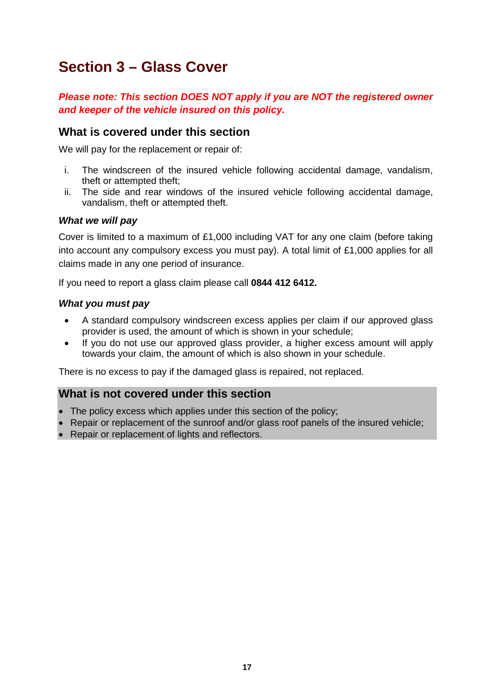### **Section 3 – Glass Cover**

*Please note: This section DOES NOT apply if you are NOT the registered owner and keeper of the vehicle insured on this policy.*

### **What is covered under this section**

We will pay for the replacement or repair of:

- i. The windscreen of the insured vehicle following accidental damage, vandalism, theft or attempted theft;
- ii. The side and rear windows of the insured vehicle following accidental damage, vandalism, theft or attempted theft.

#### *What we will pay*

Cover is limited to a maximum of £1,000 including VAT for any one claim (before taking into account any compulsory excess you must pay). A total limit of £1,000 applies for all claims made in any one period of insurance.

If you need to report a glass claim please call **0844 412 6412.**

#### *What you must pay*

- A standard compulsory windscreen excess applies per claim if our approved glass provider is used, the amount of which is shown in your schedule;
- If you do not use our approved glass provider, a higher excess amount will apply towards your claim, the amount of which is also shown in your schedule.

There is no excess to pay if the damaged glass is repaired, not replaced.

### **What is not covered under this section**

- The policy excess which applies under this section of the policy;
- Repair or replacement of the sunroof and/or glass roof panels of the insured vehicle;
- Repair or replacement of lights and reflectors.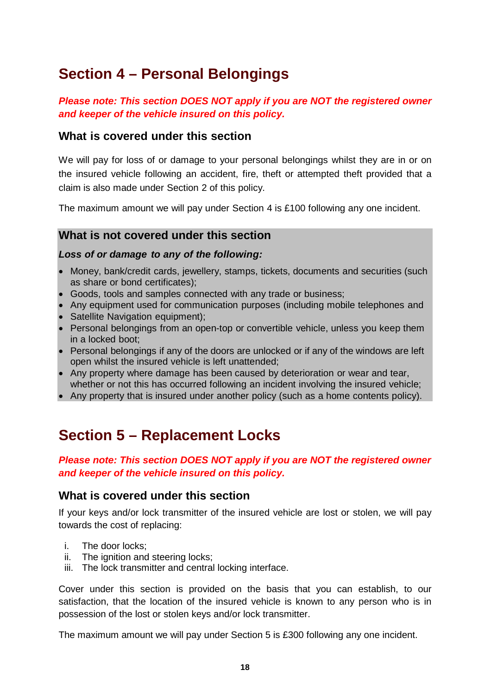## **Section 4 – Personal Belongings**

### *Please note: This section DOES NOT apply if you are NOT the registered owner and keeper of the vehicle insured on this policy.*

### **What is covered under this section**

We will pay for loss of or damage to your personal belongings whilst they are in or on the insured vehicle following an accident, fire, theft or attempted theft provided that a claim is also made under Section 2 of this policy.

The maximum amount we will pay under Section 4 is £100 following any one incident.

### **What is not covered under this section**

#### *Loss of or damage to any of the following:*

- Money, bank/credit cards, jewellery, stamps, tickets, documents and securities (such as share or bond certificates);
- Goods, tools and samples connected with any trade or business;
- Any equipment used for communication purposes (including mobile telephones and
- Satellite Navigation equipment);
- Personal belongings from an open-top or convertible vehicle, unless you keep them in a locked boot;
- Personal belongings if any of the doors are unlocked or if any of the windows are left open whilst the insured vehicle is left unattended;
- Any property where damage has been caused by deterioration or wear and tear, whether or not this has occurred following an incident involving the insured vehicle;
- Any property that is insured under another policy (such as a home contents policy).

### **Section 5 – Replacement Locks**

### *Please note: This section DOES NOT apply if you are NOT the registered owner and keeper of the vehicle insured on this policy.*

### **What is covered under this section**

If your keys and/or lock transmitter of the insured vehicle are lost or stolen, we will pay towards the cost of replacing:

- i. The door locks;
- ii. The ignition and steering locks;
- iii. The lock transmitter and central locking interface.

Cover under this section is provided on the basis that you can establish, to our satisfaction, that the location of the insured vehicle is known to any person who is in possession of the lost or stolen keys and/or lock transmitter.

The maximum amount we will pay under Section 5 is £300 following any one incident.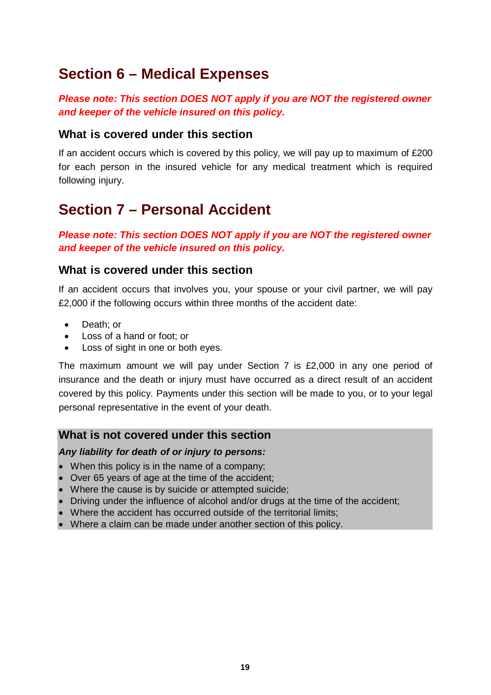### **Section 6 – Medical Expenses**

### *Please note: This section DOES NOT apply if you are NOT the registered owner and keeper of the vehicle insured on this policy.*

### **What is covered under this section**

If an accident occurs which is covered by this policy, we will pay up to maximum of £200 for each person in the insured vehicle for any medical treatment which is required following injury.

### **Section 7 – Personal Accident**

*Please note: This section DOES NOT apply if you are NOT the registered owner and keeper of the vehicle insured on this policy.*

### **What is covered under this section**

If an accident occurs that involves you, your spouse or your civil partner, we will pay £2,000 if the following occurs within three months of the accident date:

- Death; or
- Loss of a hand or foot; or
- Loss of sight in one or both eyes.

The maximum amount we will pay under Section 7 is £2,000 in any one period of insurance and the death or injury must have occurred as a direct result of an accident covered by this policy. Payments under this section will be made to you, or to your legal personal representative in the event of your death.

### **What is not covered under this section**

#### *Any liability for death of or injury to persons:*

- When this policy is in the name of a company;
- Over 65 years of age at the time of the accident;
- Where the cause is by suicide or attempted suicide;
- Driving under the influence of alcohol and/or drugs at the time of the accident;
- Where the accident has occurred outside of the territorial limits;
- Where a claim can be made under another section of this policy.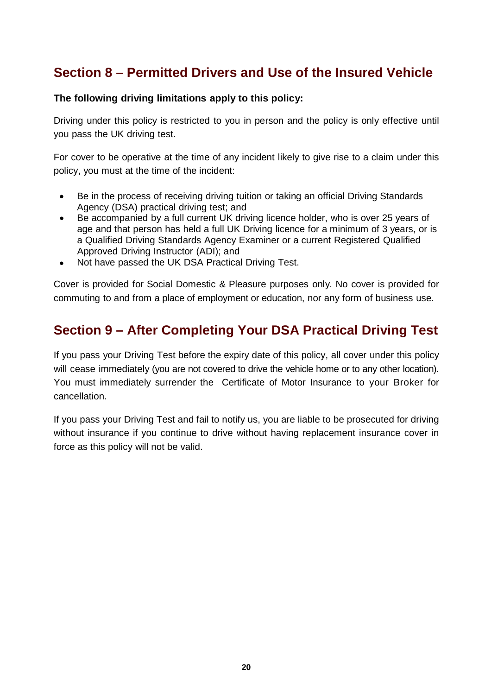### **Section 8 – Permitted Drivers and Use of the Insured Vehicle**

### **The following driving limitations apply to this policy:**

Driving under this policy is restricted to you in person and the policy is only effective until you pass the UK driving test.

For cover to be operative at the time of any incident likely to give rise to a claim under this policy, you must at the time of the incident:

- Be in the process of receiving driving tuition or taking an official Driving Standards Agency (DSA) practical driving test; and
- Be accompanied by a full current UK driving licence holder, who is over 25 years of age and that person has held a full UK Driving licence for a minimum of 3 years, or is a Qualified Driving Standards Agency Examiner or a current Registered Qualified Approved Driving Instructor (ADI); and
- Not have passed the UK DSA Practical Driving Test.

Cover is provided for Social Domestic & Pleasure purposes only. No cover is provided for commuting to and from a place of employment or education, nor any form of business use.

### **Section 9 – After Completing Your DSA Practical Driving Test**

If you pass your Driving Test before the expiry date of this policy, all cover under this policy will cease immediately (you are not covered to drive the vehicle home or to any other location). You must immediately surrender the Certificate of Motor Insurance to your Broker for cancellation.

If you pass your Driving Test and fail to notify us, you are liable to be prosecuted for driving without insurance if you continue to drive without having replacement insurance cover in force as this policy will not be valid.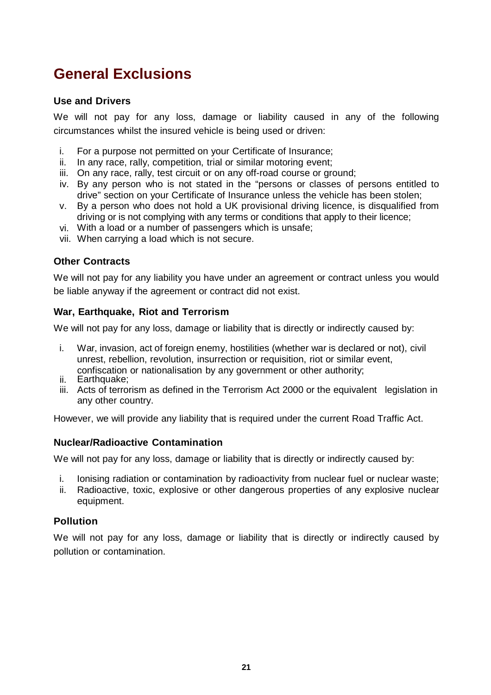# **General Exclusions**

#### **Use and Drivers**

We will not pay for any loss, damage or liability caused in any of the following circumstances whilst the insured vehicle is being used or driven:

- i. For a purpose not permitted on your Certificate of Insurance;
- ii. In any race, rally, competition, trial or similar motoring event;
- iii. On any race, rally, test circuit or on any off-road course or ground;
- iv. By any person who is not stated in the "persons or classes of persons entitled to drive" section on your Certificate of Insurance unless the vehicle has been stolen;
- v. By a person who does not hold a UK provisional driving licence, is disqualified from driving or is not complying with any terms or conditions that apply to their licence;
- vi. With a load or a number of passengers which is unsafe;
- vii. When carrying a load which is not secure.

### **Other Contracts**

We will not pay for any liability you have under an agreement or contract unless you would be liable anyway if the agreement or contract did not exist.

#### **War, Earthquake, Riot and Terrorism**

We will not pay for any loss, damage or liability that is directly or indirectly caused by:

- i. War, invasion, act of foreign enemy, hostilities (whether war is declared or not), civil unrest, rebellion, revolution, insurrection or requisition, riot or similar event, confiscation or nationalisation by any government or other authority;
- ii. Earthquake;
- iii. Acts of terrorism as defined in the Terrorism Act 2000 or the equivalent legislation in any other country.

However, we will provide any liability that is required under the current Road Traffic Act.

#### **Nuclear/Radioactive Contamination**

We will not pay for any loss, damage or liability that is directly or indirectly caused by:

- i. Ionising radiation or contamination by radioactivity from nuclear fuel or nuclear waste;
- ii. Radioactive, toxic, explosive or other dangerous properties of any explosive nuclear equipment.

#### **Pollution**

We will not pay for any loss, damage or liability that is directly or indirectly caused by pollution or contamination.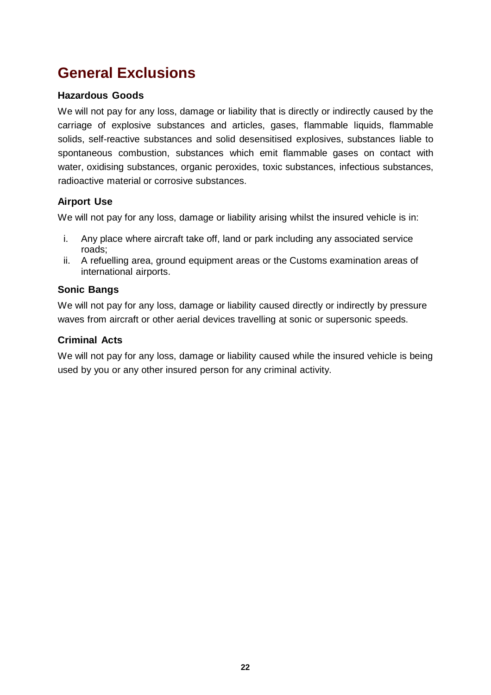# **General Exclusions**

### **Hazardous Goods**

We will not pay for any loss, damage or liability that is directly or indirectly caused by the carriage of explosive substances and articles, gases, flammable liquids, flammable solids, self-reactive substances and solid desensitised explosives, substances liable to spontaneous combustion, substances which emit flammable gases on contact with water, oxidising substances, organic peroxides, toxic substances, infectious substances, radioactive material or corrosive substances.

### **Airport Use**

We will not pay for any loss, damage or liability arising whilst the insured vehicle is in:

- i. Any place where aircraft take off, land or park including any associated service roads;
- ii. A refuelling area, ground equipment areas or the Customs examination areas of international airports.

### **Sonic Bangs**

We will not pay for any loss, damage or liability caused directly or indirectly by pressure waves from aircraft or other aerial devices travelling at sonic or supersonic speeds.

### **Criminal Acts**

We will not pay for any loss, damage or liability caused while the insured vehicle is being used by you or any other insured person for any criminal activity.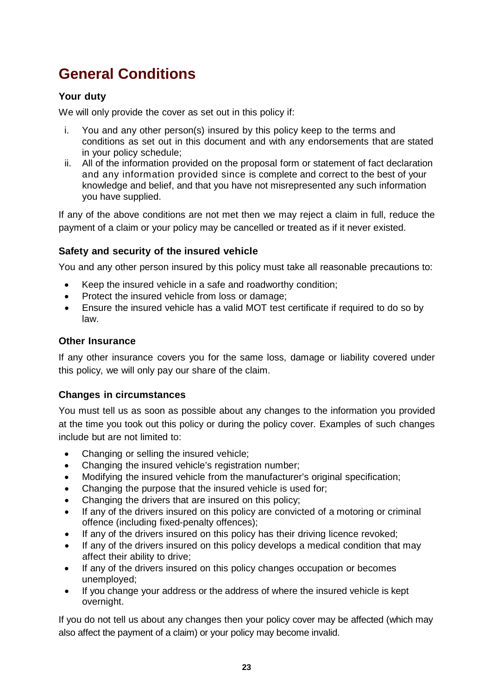### **Your duty**

We will only provide the cover as set out in this policy if:

- i. You and any other person(s) insured by this policy keep to the terms and conditions as set out in this document and with any endorsements that are stated in your policy schedule;
- ii. All of the information provided on the proposal form or statement of fact declaration and any information provided since is complete and correct to the best of your knowledge and belief, and that you have not misrepresented any such information you have supplied.

If any of the above conditions are not met then we may reject a claim in full, reduce the payment of a claim or your policy may be cancelled or treated as if it never existed.

### **Safety and security of the insured vehicle**

You and any other person insured by this policy must take all reasonable precautions to:

- Keep the insured vehicle in a safe and roadworthy condition;
- Protect the insured vehicle from loss or damage;
- Ensure the insured vehicle has a valid MOT test certificate if required to do so by law.

#### **Other Insurance**

If any other insurance covers you for the same loss, damage or liability covered under this policy, we will only pay our share of the claim.

#### **Changes in circumstances**

You must tell us as soon as possible about any changes to the information you provided at the time you took out this policy or during the policy cover. Examples of such changes include but are not limited to:

- Changing or selling the insured vehicle;
- Changing the insured vehicle's registration number;
- Modifying the insured vehicle from the manufacturer's original specification;
- Changing the purpose that the insured vehicle is used for;
- Changing the drivers that are insured on this policy;
- If any of the drivers insured on this policy are convicted of a motoring or criminal offence (including fixed-penalty offences);
- If any of the drivers insured on this policy has their driving licence revoked;
- If any of the drivers insured on this policy develops a medical condition that may affect their ability to drive;
- If any of the drivers insured on this policy changes occupation or becomes unemployed;
- If you change your address or the address of where the insured vehicle is kept overnight.

If you do not tell us about any changes then your policy cover may be affected (which may also affect the payment of a claim) or your policy may become invalid.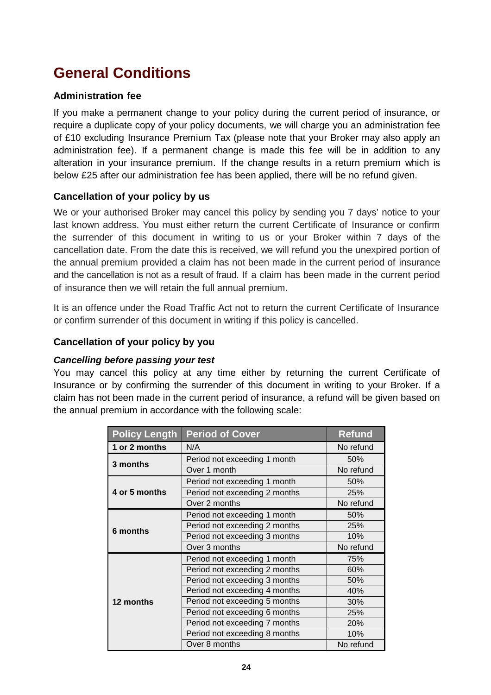### **Administration fee**

If you make a permanent change to your policy during the current period of insurance, or require a duplicate copy of your policy documents, we will charge you an administration fee of £10 excluding Insurance Premium Tax (please note that your Broker may also apply an administration fee). If a permanent change is made this fee will be in addition to any alteration in your insurance premium. If the change results in a return premium which is below £25 after our administration fee has been applied, there will be no refund given.

### **Cancellation of your policy by us**

We or your authorised Broker may cancel this policy by sending you 7 days' notice to your last known address. You must either return the current Certificate of Insurance or confirm the surrender of this document in writing to us or your Broker within 7 days of the cancellation date. From the date this is received, we will refund you the unexpired portion of the annual premium provided a claim has not been made in the current period of insurance and the cancellation is not as a result of fraud. If a claim has been made in the current period of insurance then we will retain the full annual premium.

It is an offence under the Road Traffic Act not to return the current Certificate of Insurance or confirm surrender of this document in writing if this policy is cancelled.

### **Cancellation of your policy by you**

#### *Cancelling before passing your test*

You may cancel this policy at any time either by returning the current Certificate of Insurance or by confirming the surrender of this document in writing to your Broker. If a claim has not been made in the current period of insurance, a refund will be given based on the annual premium in accordance with the following scale:

| <b>Policy Length</b> | <b>Period of Cover</b>        | <b>Refund</b> |
|----------------------|-------------------------------|---------------|
| 1 or 2 months        | N/A                           | No refund     |
| 3 months             | Period not exceeding 1 month  | 50%           |
|                      | Over 1 month                  | No refund     |
|                      | Period not exceeding 1 month  | 50%           |
| 4 or 5 months        | Period not exceeding 2 months | 25%           |
|                      | Over 2 months                 | No refund     |
|                      | Period not exceeding 1 month  | 50%           |
| 6 months             | Period not exceeding 2 months | 25%           |
|                      | Period not exceeding 3 months | 10%           |
|                      | Over 3 months                 | No refund     |
|                      | Period not exceeding 1 month  | 75%           |
|                      | Period not exceeding 2 months | 60%           |
|                      | Period not exceeding 3 months | 50%           |
|                      | Period not exceeding 4 months | 40%           |
| 12 months            | Period not exceeding 5 months | 30%           |
|                      | Period not exceeding 6 months | 25%           |
|                      | Period not exceeding 7 months | 20%           |
|                      | Period not exceeding 8 months | 10%           |
|                      | Over 8 months                 | No refund     |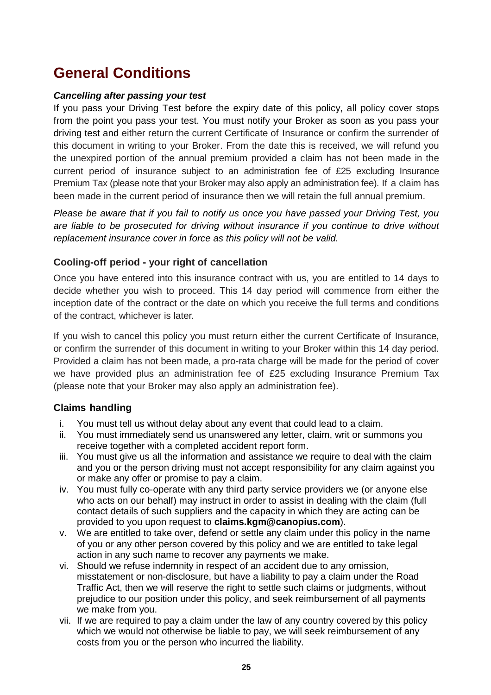#### *Cancelling after passing your test*

If you pass your Driving Test before the expiry date of this policy, all policy cover stops from the point you pass your test. You must notify your Broker as soon as you pass your driving test and either return the current Certificate of Insurance or confirm the surrender of this document in writing to your Broker. From the date this is received, we will refund you the unexpired portion of the annual premium provided a claim has not been made in the current period of insurance subject to an administration fee of £25 excluding Insurance Premium Tax (please note that your Broker may also apply an administration fee). If a claim has been made in the current period of insurance then we will retain the full annual premium.

*Please be aware that if you fail to notify us once you have passed your Driving Test, you are liable to be prosecuted for driving without insurance if you continue to drive without replacement insurance cover in force as this policy will not be valid.* 

#### **Cooling-off period - your right of cancellation**

Once you have entered into this insurance contract with us, you are entitled to 14 days to decide whether you wish to proceed. This 14 day period will commence from either the inception date of the contract or the date on which you receive the full terms and conditions of the contract, whichever is later.

If you wish to cancel this policy you must return either the current Certificate of Insurance, or confirm the surrender of this document in writing to your Broker within this 14 day period. Provided a claim has not been made, a pro-rata charge will be made for the period of cover we have provided plus an administration fee of £25 excluding Insurance Premium Tax (please note that your Broker may also apply an administration fee).

#### **Claims handling**

- i. You must tell us without delay about any event that could lead to a claim.
- ii. You must immediately send us unanswered any letter, claim, writ or summons you receive together with a completed accident report form.
- iii. You must give us all the information and assistance we require to deal with the claim and you or the person driving must not accept responsibility for any claim against you or make any offer or promise to pay a claim.
- iv. You must fully co-operate with any third party service providers we (or anyone else who acts on our behalf) may instruct in order to assist in dealing with the claim (full contact details of such suppliers and the capacity in which they are acting can be provided to you upon request to **claims.kgm@canopius.com**).
- v. We are entitled to take over, defend or settle any claim under this policy in the name of you or any other person covered by this policy and we are entitled to take legal action in any such name to recover any payments we make.
- vi. Should we refuse indemnity in respect of an accident due to any omission, misstatement or non-disclosure, but have a liability to pay a claim under the Road Traffic Act, then we will reserve the right to settle such claims or judgments, without prejudice to our position under this policy, and seek reimbursement of all payments we make from you.
- vii. If we are required to pay a claim under the law of any country covered by this policy which we would not otherwise be liable to pay, we will seek reimbursement of any costs from you or the person who incurred the liability.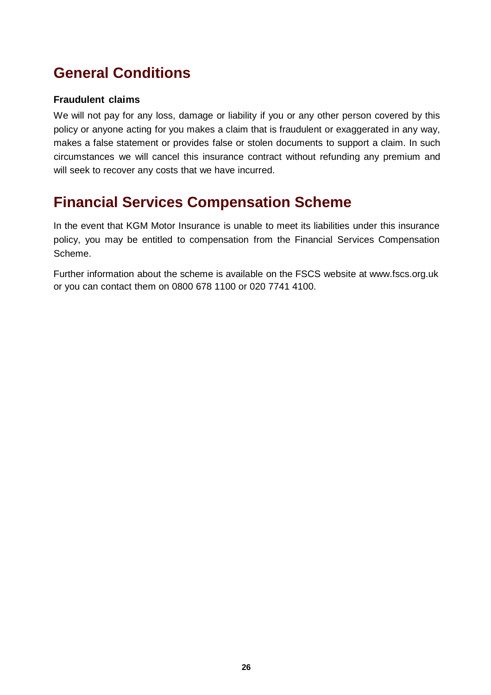### **Fraudulent claims**

We will not pay for any loss, damage or liability if you or any other person covered by this policy or anyone acting for you makes a claim that is fraudulent or exaggerated in any way, makes a false statement or provides false or stolen documents to support a claim. In such circumstances we will cancel this insurance contract without refunding any premium and will seek to recover any costs that we have incurred.

### **Financial Services Compensation Scheme**

In the event that KGM Motor Insurance is unable to meet its liabilities under this insurance policy, you may be entitled to compensation from the Financial Services Compensation Scheme.

Further information about the scheme is available on the FSCS website at [www.fscs.org.uk](http://www.fscs.org.uk/) or you can contact them on 0800 678 1100 or 020 7741 4100.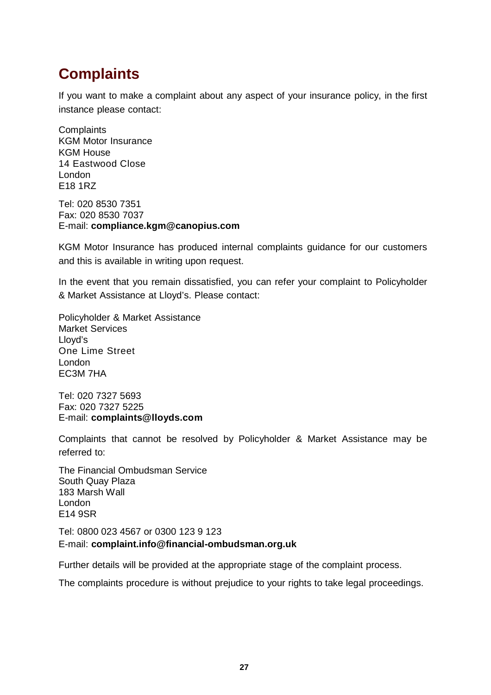# **Complaints**

If you want to make a complaint about any aspect of your insurance policy, in the first instance please contact:

**Complaints** KGM Motor Insurance KGM House 14 Eastwood Close London E18 1RZ

Tel: 020 8530 7351 Fax: 020 8530 7037 E-mail: **compliance.kgm@canopius.com**

KGM Motor Insurance has produced internal complaints guidance for our customers and this is available in writing upon request.

In the event that you remain dissatisfied, you can refer your complaint to Policyholder & Market Assistance at Lloyd's. Please contact:

Policyholder & Market Assistance Market Services Lloyd's One Lime Street London EC3M 7HA

Tel: 020 7327 5693 Fax: 020 7327 5225 E-mail: **[complaints@lloyds.com](mailto:complaints@lloyds.com)**

Complaints that cannot be resolved by Policyholder & Market Assistance may be referred to:

The Financial Ombudsman Service South Quay Plaza 183 Marsh Wall London E14 9SR

#### Tel: 0800 023 4567 or 0300 123 9 123 E-mail: **[complaint.info@financial-ombudsman.org.uk](mailto:complaint.info@financial-ombudsman.org.uk)**

Further details will be provided at the appropriate stage of the complaint process.

The complaints procedure is without prejudice to your rights to take legal proceedings.